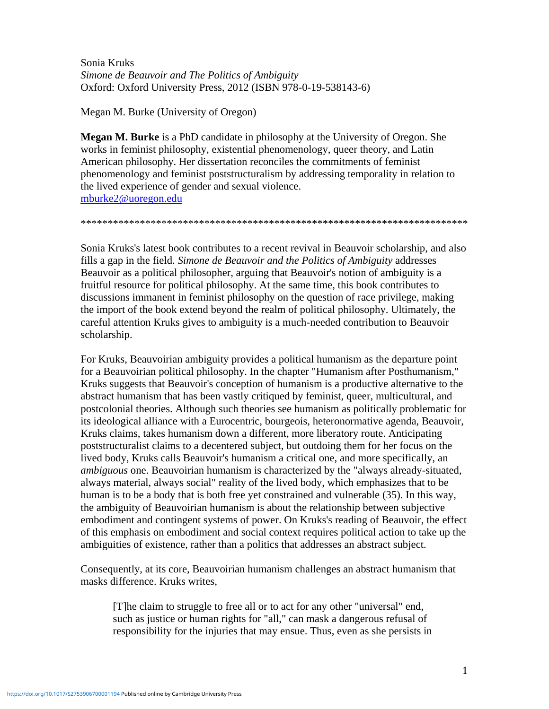Sonia Kruks *Simone de Beauvoir and The Politics of Ambiguity* Oxford: Oxford University Press, 2012 (ISBN 978-0-19-538143-6)

Megan M. Burke (University of Oregon)

**Megan M. Burke** is a PhD candidate in philosophy at the University of Oregon. She works in feminist philosophy, existential phenomenology, queer theory, and Latin American philosophy. Her dissertation reconciles the commitments of feminist phenomenology and feminist poststructuralism by addressing temporality in relation to the lived experience of gender and sexual violence. [mburke2@uoregon.edu](mailto:mburke2@uoregon.edu)

\*\*\*\*\*\*\*\*\*\*\*\*\*\*\*\*\*\*\*\*\*\*\*\*\*\*\*\*\*\*\*\*\*\*\*\*\*\*\*\*\*\*\*\*\*\*\*\*\*\*\*\*\*\*\*\*\*\*\*\*\*\*\*\*\*\*\*\*\*\*\*\*

Sonia Kruks's latest book contributes to a recent revival in Beauvoir scholarship, and also fills a gap in the field. *Simone de Beauvoir and the Politics of Ambiguity* addresses Beauvoir as a political philosopher, arguing that Beauvoir's notion of ambiguity is a fruitful resource for political philosophy. At the same time, this book contributes to discussions immanent in feminist philosophy on the question of race privilege, making the import of the book extend beyond the realm of political philosophy. Ultimately, the careful attention Kruks gives to ambiguity is a much-needed contribution to Beauvoir scholarship.

For Kruks, Beauvoirian ambiguity provides a political humanism as the departure point for a Beauvoirian political philosophy. In the chapter "Humanism after Posthumanism," Kruks suggests that Beauvoir's conception of humanism is a productive alternative to the abstract humanism that has been vastly critiqued by feminist, queer, multicultural, and postcolonial theories. Although such theories see humanism as politically problematic for its ideological alliance with a Eurocentric, bourgeois, heteronormative agenda, Beauvoir, Kruks claims, takes humanism down a different, more liberatory route. Anticipating poststructuralist claims to a decentered subject, but outdoing them for her focus on the lived body, Kruks calls Beauvoir's humanism a critical one, and more specifically, an *ambiguous* one. Beauvoirian humanism is characterized by the "always already-situated, always material, always social" reality of the lived body, which emphasizes that to be human is to be a body that is both free yet constrained and vulnerable (35). In this way, the ambiguity of Beauvoirian humanism is about the relationship between subjective embodiment and contingent systems of power. On Kruks's reading of Beauvoir, the effect of this emphasis on embodiment and social context requires political action to take up the ambiguities of existence, rather than a politics that addresses an abstract subject.

Consequently, at its core, Beauvoirian humanism challenges an abstract humanism that masks difference. Kruks writes,

[T]he claim to struggle to free all or to act for any other "universal" end, such as justice or human rights for "all," can mask a dangerous refusal of responsibility for the injuries that may ensue. Thus, even as she persists in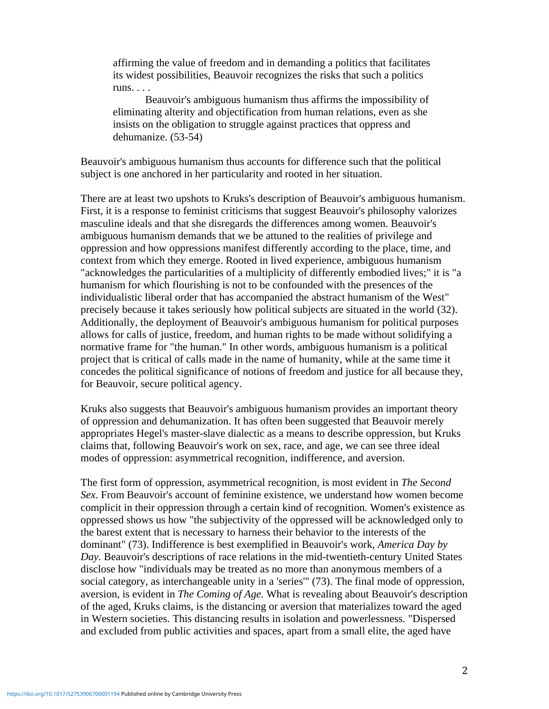affirming the value of freedom and in demanding a politics that facilitates its widest possibilities, Beauvoir recognizes the risks that such a politics runs. . . .

Beauvoir's ambiguous humanism thus affirms the impossibility of eliminating alterity and objectification from human relations, even as she insists on the obligation to struggle against practices that oppress and dehumanize. (53-54)

Beauvoir's ambiguous humanism thus accounts for difference such that the political subject is one anchored in her particularity and rooted in her situation.

There are at least two upshots to Kruks's description of Beauvoir's ambiguous humanism. First, it is a response to feminist criticisms that suggest Beauvoir's philosophy valorizes masculine ideals and that she disregards the differences among women. Beauvoir's ambiguous humanism demands that we be attuned to the realities of privilege and oppression and how oppressions manifest differently according to the place, time, and context from which they emerge. Rooted in lived experience, ambiguous humanism "acknowledges the particularities of a multiplicity of differently embodied lives;" it is "a humanism for which flourishing is not to be confounded with the presences of the individualistic liberal order that has accompanied the abstract humanism of the West" precisely because it takes seriously how political subjects are situated in the world (32). Additionally, the deployment of Beauvoir's ambiguous humanism for political purposes allows for calls of justice, freedom, and human rights to be made without solidifying a normative frame for "the human." In other words, ambiguous humanism is a political project that is critical of calls made in the name of humanity, while at the same time it concedes the political significance of notions of freedom and justice for all because they, for Beauvoir, secure political agency.

Kruks also suggests that Beauvoir's ambiguous humanism provides an important theory of oppression and dehumanization. It has often been suggested that Beauvoir merely appropriates Hegel's master-slave dialectic as a means to describe oppression, but Kruks claims that, following Beauvoir's work on sex, race, and age, we can see three ideal modes of oppression: asymmetrical recognition, indifference, and aversion.

The first form of oppression, asymmetrical recognition, is most evident in *The Second Sex.* From Beauvoir's account of feminine existence, we understand how women become complicit in their oppression through a certain kind of recognition. Women's existence as oppressed shows us how "the subjectivity of the oppressed will be acknowledged only to the barest extent that is necessary to harness their behavior to the interests of the dominant" (73). Indifference is best exemplified in Beauvoir's work, *America Day by Day.* Beauvoir's descriptions of race relations in the mid-twentieth-century United States disclose how "individuals may be treated as no more than anonymous members of a social category, as interchangeable unity in a 'series'" (73). The final mode of oppression, aversion, is evident in *The Coming of Age.* What is revealing about Beauvoir's description of the aged, Kruks claims, is the distancing or aversion that materializes toward the aged in Western societies. This distancing results in isolation and powerlessness. "Dispersed and excluded from public activities and spaces, apart from a small elite, the aged have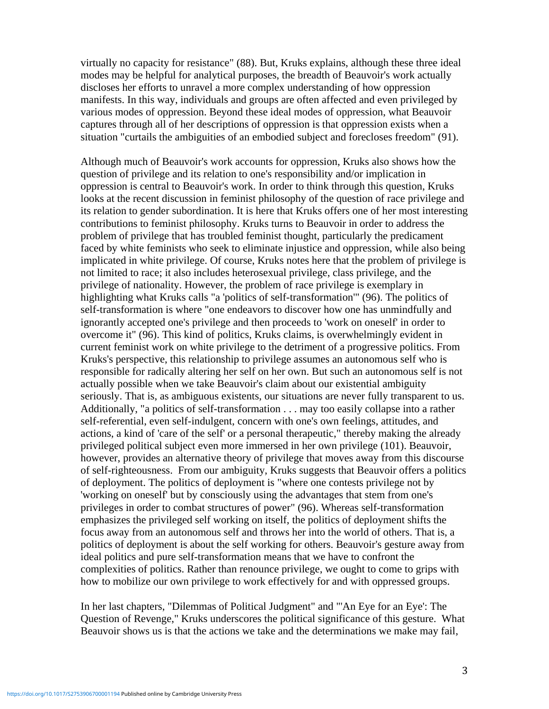virtually no capacity for resistance" (88). But, Kruks explains, although these three ideal modes may be helpful for analytical purposes, the breadth of Beauvoir's work actually discloses her efforts to unravel a more complex understanding of how oppression manifests. In this way, individuals and groups are often affected and even privileged by various modes of oppression. Beyond these ideal modes of oppression, what Beauvoir captures through all of her descriptions of oppression is that oppression exists when a situation "curtails the ambiguities of an embodied subject and forecloses freedom" (91).

Although much of Beauvoir's work accounts for oppression, Kruks also shows how the question of privilege and its relation to one's responsibility and/or implication in oppression is central to Beauvoir's work. In order to think through this question, Kruks looks at the recent discussion in feminist philosophy of the question of race privilege and its relation to gender subordination. It is here that Kruks offers one of her most interesting contributions to feminist philosophy. Kruks turns to Beauvoir in order to address the problem of privilege that has troubled feminist thought, particularly the predicament faced by white feminists who seek to eliminate injustice and oppression, while also being implicated in white privilege. Of course, Kruks notes here that the problem of privilege is not limited to race; it also includes heterosexual privilege, class privilege, and the privilege of nationality. However, the problem of race privilege is exemplary in highlighting what Kruks calls "a 'politics of self-transformation'" (96). The politics of self-transformation is where "one endeavors to discover how one has unmindfully and ignorantly accepted one's privilege and then proceeds to 'work on oneself' in order to overcome it" (96). This kind of politics, Kruks claims, is overwhelmingly evident in current feminist work on white privilege to the detriment of a progressive politics. From Kruks's perspective, this relationship to privilege assumes an autonomous self who is responsible for radically altering her self on her own. But such an autonomous self is not actually possible when we take Beauvoir's claim about our existential ambiguity seriously. That is, as ambiguous existents, our situations are never fully transparent to us. Additionally, "a politics of self-transformation . . . may too easily collapse into a rather self-referential, even self-indulgent, concern with one's own feelings, attitudes, and actions, a kind of 'care of the self' or a personal therapeutic," thereby making the already privileged political subject even more immersed in her own privilege (101). Beauvoir, however, provides an alternative theory of privilege that moves away from this discourse of self-righteousness. From our ambiguity, Kruks suggests that Beauvoir offers a politics of deployment. The politics of deployment is "where one contests privilege not by 'working on oneself' but by consciously using the advantages that stem from one's privileges in order to combat structures of power" (96). Whereas self-transformation emphasizes the privileged self working on itself, the politics of deployment shifts the focus away from an autonomous self and throws her into the world of others. That is, a politics of deployment is about the self working for others. Beauvoir's gesture away from ideal politics and pure self-transformation means that we have to confront the complexities of politics. Rather than renounce privilege, we ought to come to grips with how to mobilize our own privilege to work effectively for and with oppressed groups.

In her last chapters, "Dilemmas of Political Judgment" and "'An Eye for an Eye': The Question of Revenge," Kruks underscores the political significance of this gesture. What Beauvoir shows us is that the actions we take and the determinations we make may fail,